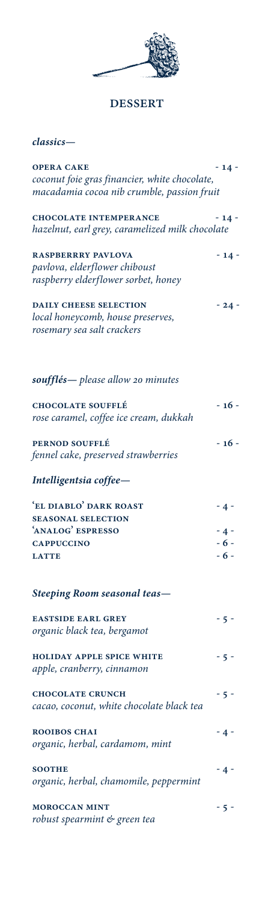

## **DESSERT**

## *classics—*

| <b>OPERA CAKE</b><br>coconut foie gras financier, white chocolate,<br>macadamia cocoa nib crumble, passion fruit | $-14-$                           |
|------------------------------------------------------------------------------------------------------------------|----------------------------------|
| <b>CHOCOLATE INTEMPERANCE</b><br>hazelnut, earl grey, caramelized milk chocolate                                 | $-14-$                           |
| <b>RASPBERRRY PAVLOVA</b><br>pavlova, elderflower chiboust<br>raspberry elderflower sorbet, honey                | $-14-$                           |
| <b>DAILY CHEESE SELECTION</b><br>local honeycomb, house preserves,<br>rosemary sea salt crackers                 | $-24-$                           |
| soufflés— please allow 20 minutes                                                                                |                                  |
| <b>CHOCOLATE SOUFFLÉ</b><br>rose caramel, coffee ice cream, dukkah                                               | $-16-$                           |
| PERNOD SOUFFLÉ<br>fennel cake, preserved strawberries                                                            | $-16-$                           |
| Intelligentsia coffee-                                                                                           |                                  |
| 'EL DIABLO' DARK ROAST<br><b>SEASONAL SELECTION</b><br>'ANALOG' ESPRESSO<br><b>CAPPUCCINO</b><br><b>LATTE</b>    | $-4-$<br>$-4-$<br>$-6-$<br>$-6-$ |
| <b>Steeping Room seasonal teas—</b>                                                                              |                                  |
| <b>EASTSIDE EARL GREY</b><br>organic black tea, bergamot                                                         | $-5-$                            |
| <b>HOLIDAY APPLE SPICE WHITE</b><br>apple, cranberry, cinnamon                                                   | - 5 -                            |
| <b>CHOCOLATE CRUNCH</b><br>cacao, coconut, white chocolate black tea                                             | - 5 -                            |
| <b>ROOIBOS CHAI</b><br>organic, herbal, cardamom, mint                                                           | - 4 -                            |
| <b>SOOTHE</b><br>organic, herbal, chamomile, peppermint                                                          | $-4-$                            |
| <b>MOROCCAN MINT</b><br>robust spearmint & green tea                                                             | - 5 -                            |